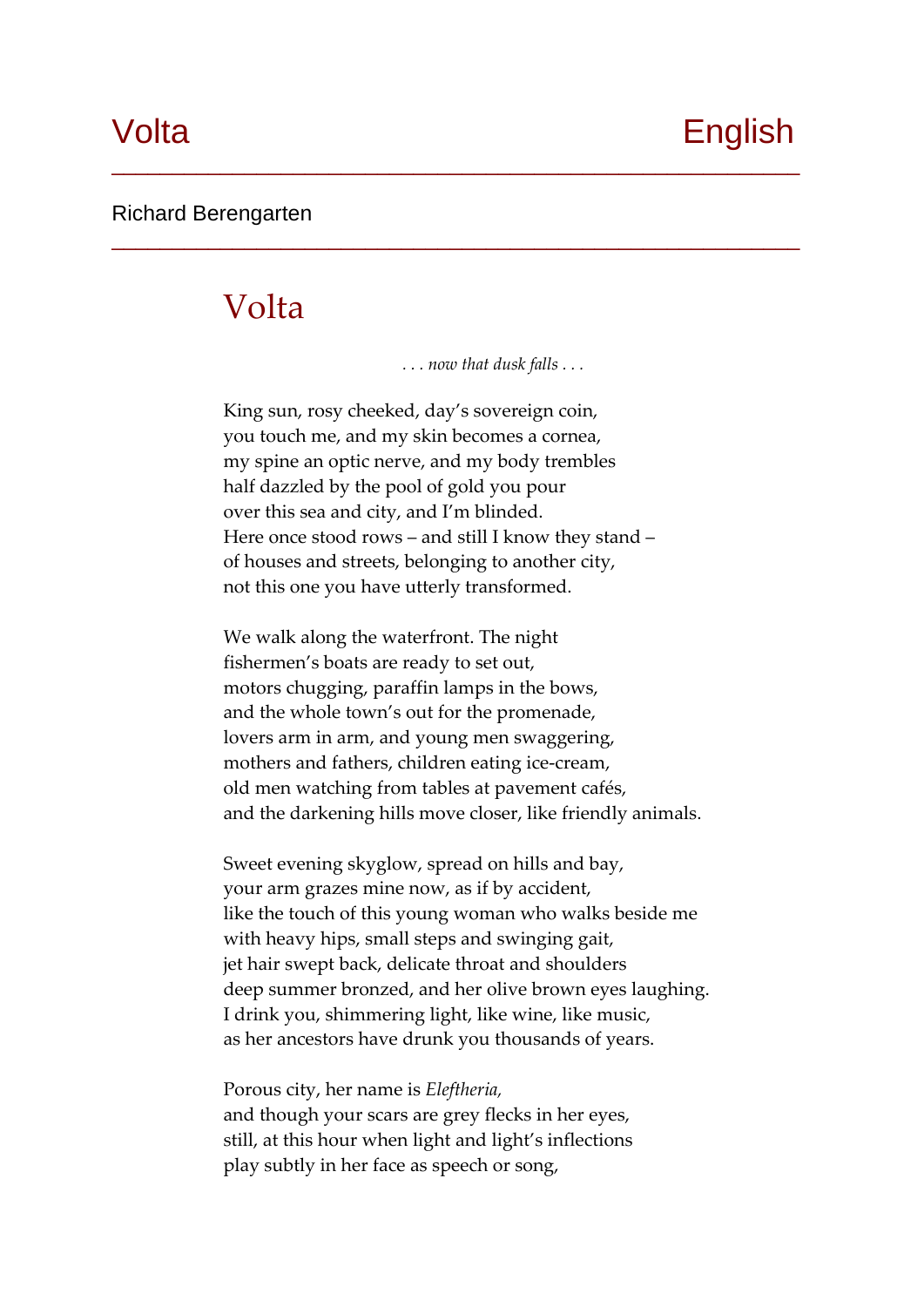#### Richard Berengarten

## Volta

 *. . . now that dusk falls . . .*

\_\_\_\_\_\_\_\_\_\_\_\_\_\_\_\_\_\_\_\_\_\_\_\_\_\_\_\_\_\_\_\_\_\_\_\_\_\_\_\_\_\_\_\_\_\_\_\_\_\_\_\_\_\_\_\_\_

\_\_\_\_\_\_\_\_\_\_\_\_\_\_\_\_\_\_\_\_\_\_\_\_\_\_\_\_\_\_\_\_\_\_\_\_\_\_\_\_\_\_\_\_\_\_\_\_\_\_\_\_\_\_\_\_\_

King sun, rosy cheeked, day's sovereign coin, you touch me, and my skin becomes a cornea, my spine an optic nerve, and my body trembles half dazzled by the pool of gold you pour over this sea and city, and I'm blinded. Here once stood rows – and still I know they stand – of houses and streets, belonging to another city, not this one you have utterly transformed.

We walk along the waterfront. The night fishermen's boats are ready to set out, motors chugging, paraffin lamps in the bows, and the whole town's out for the promenade, lovers arm in arm, and young men swaggering, mothers and fathers, children eating ice‐cream, old men watching from tables at pavement cafés, and the darkening hills move closer, like friendly animals.

Sweet evening skyglow, spread on hills and bay, your arm grazes mine now, as if by accident, like the touch of this young woman who walks beside me with heavy hips, small steps and swinging gait, jet hair swept back, delicate throat and shoulders deep summer bronzed, and her olive brown eyes laughing. I drink you, shimmering light, like wine, like music, as her ancestors have drunk you thousands of years.

Porous city, her name is *Eleftheria,* and though your scars are grey flecks in her eyes, still, at this hour when light and light's inflections play subtly in her face as speech or song,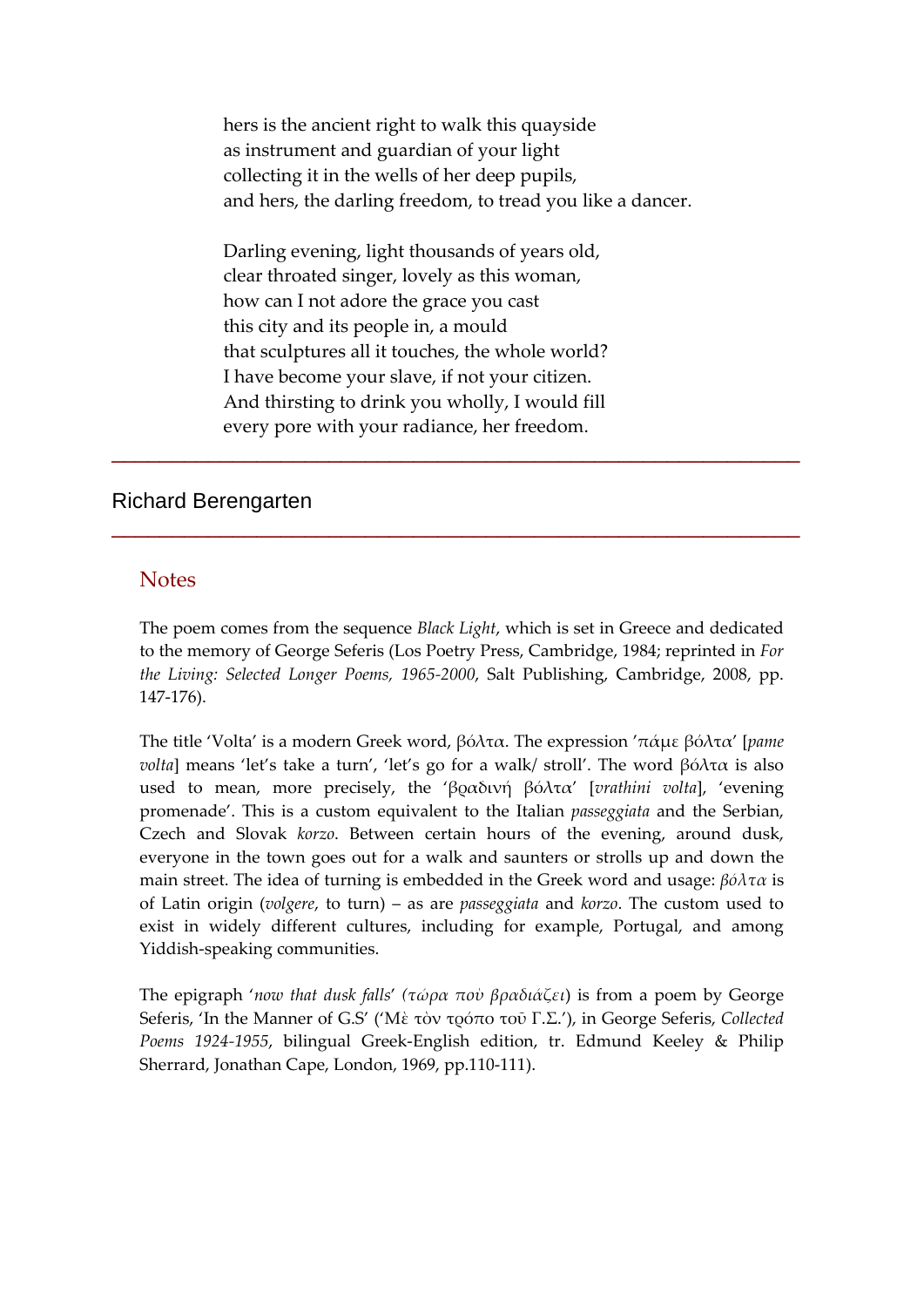hers is the ancient right to walk this quayside as instrument and guardian of your light collecting it in the wells of her deep pupils, and hers, the darling freedom, to tread you like a dancer.

Darling evening, light thousands of years old, clear throated singer, lovely as this woman, how can I not adore the grace you cast this city and its people in, a mould that sculptures all it touches, the whole world? I have become your slave, if not your citizen. And thirsting to drink you wholly, I would fill every pore with your radiance, her freedom.

### Richard Berengarten

#### **Notes**

The poem comes from the sequence *Black Light*, which is set in Greece and dedicated to the memory of George Seferis (Los Poetry Press, Cambridge, 1984; reprinted in *For the Living: Selected Longer Poems, 1965‐2000*, Salt Publishing, Cambridge, 2008, pp. 147‐176).

\_\_\_\_\_\_\_\_\_\_\_\_\_\_\_\_\_\_\_\_\_\_\_\_\_\_\_\_\_\_\_\_\_\_\_\_\_\_\_\_\_\_\_\_\_\_\_\_\_\_\_\_\_\_\_\_\_

\_\_\_\_\_\_\_\_\_\_\_\_\_\_\_\_\_\_\_\_\_\_\_\_\_\_\_\_\_\_\_\_\_\_\_\_\_\_\_\_\_\_\_\_\_\_\_\_\_\_\_\_\_\_\_\_\_

The title 'Volta' is a modern Greek word, βόλτα. The expression 'πάμε βόλτα' [*pame volta*] means 'let's take a turn', 'let's go for a walk/ stroll'. The word βόλτα is also used to mean, more precisely, the 'βραδινή βόλτα' [*vrathini volta*], 'evening promenade'. This is a custom equivalent to the Italian *passeggiata* and the Serbian, Czech and Slovak *korzo*. Between certain hours of the evening, around dusk, everyone in the town goes out for a walk and saunters or strolls up and down the main street. The idea of turning is embedded in the Greek word and usage: *βόλτα* is of Latin origin (*volgere*, to turn) – as are *passeggiata* and *korzo*. The custom used to exist in widely different cultures, including for example, Portugal, and among Yiddish‐speaking communities.

The epigraph '*now that dusk falls*' *(τώρα ποὺ βραδιάζει*) is from a poem by George Seferis, 'In the Manner of G.S' ('Μὲ τὸν τρόπο τοῦ Γ.Σ.'), in George Seferis, *Collected Poems 1924‐1955*, bilingual Greek‐English edition, tr. Edmund Keeley & Philip Sherrard, Jonathan Cape, London, 1969, pp.110‐111).